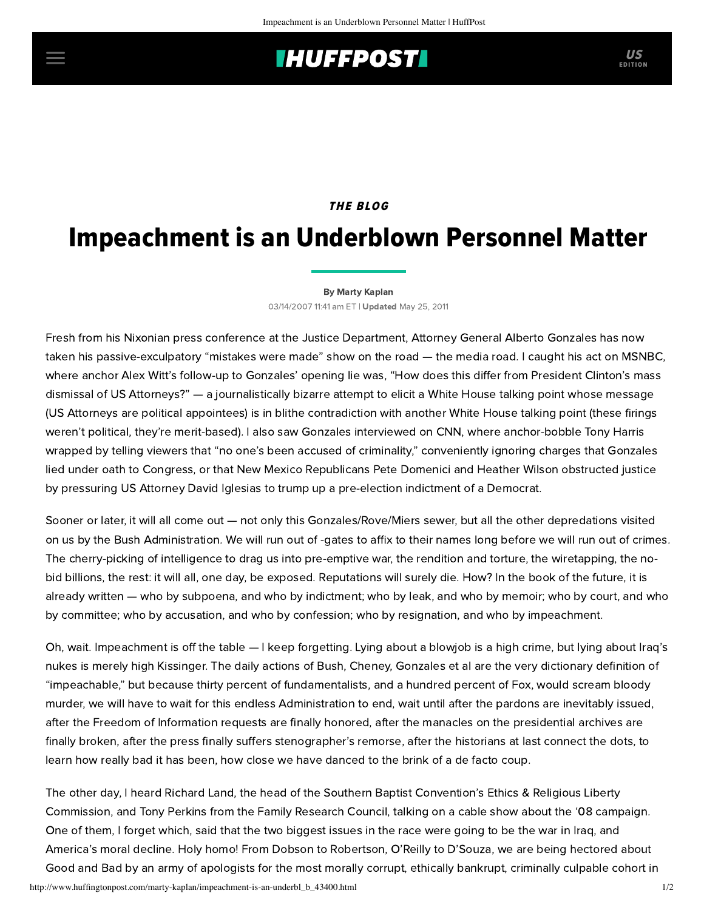## **INUFFPOST**

## **THE BLOG**

# Impeachment is an Underblown Personnel Matter

#### [By Marty Kaplan](http://www.huffingtonpost.com/author/marty-kaplan)

03/14/2007 11:41 am ET | Updated May 25, 2011

Fresh from his Nixonian press conference at the Justice Department, Attorney General Alberto Gonzales has now taken his passive-exculpatory "mistakes were made" show on the road — the media road. I caught his act on MSNBC, where anchor Alex Witt's follow-up to Gonzales' opening lie was, "How does this differ from President Clinton's mass dismissal of US Attorneys?" — a journalistically bizarre attempt to elicit a White House talking point whose message (US Attorneys are political appointees) is in blithe contradiction with another White House talking point (these firings weren't political, they're merit-based). I also saw Gonzales interviewed on CNN, where anchor-bobble Tony Harris wrapped by telling viewers that "no one's been accused of criminality," conveniently ignoring charges that Gonzales lied under oath to Congress, or that New Mexico Republicans Pete Domenici and Heather Wilson obstructed justice by pressuring US Attorney David Iglesias to trump up a pre-election indictment of a Democrat.

Sooner or later, it will all come out — not only this Gonzales/Rove/Miers sewer, but all the other depredations visited on us by the Bush Administration. We will run out of -gates to affix to their names long before we will run out of crimes. The cherry-picking of intelligence to drag us into pre-emptive war, the rendition and torture, the wiretapping, the nobid billions, the rest: it will all, one day, be exposed. Reputations will surely die. How? In the book of the future, it is already written — who by subpoena, and who by indictment; who by leak, and who by memoir; who by court, and who by committee; who by accusation, and who by confession; who by resignation, and who by impeachment.

Oh, wait. Impeachment is off the table — I keep forgetting. Lying about a blowjob is a high crime, but lying about Iraq's nukes is merely high Kissinger. The daily actions of Bush, Cheney, Gonzales et al are the very dictionary definition of "impeachable," but because thirty percent of fundamentalists, and a hundred percent of Fox, would scream bloody murder, we will have to wait for this endless Administration to end, wait until after the pardons are inevitably issued, after the Freedom of Information requests are finally honored, after the manacles on the presidential archives are finally broken, after the press finally suffers stenographer's remorse, after the historians at last connect the dots, to learn how really bad it has been, how close we have danced to the brink of a de facto coup.

The other day, I heard Richard Land, the head of the Southern Baptist Convention's Ethics & Religious Liberty Commission, and Tony Perkins from the Family Research Council, talking on a cable show about the '08 campaign. One of them, I forget which, said that the two biggest issues in the race were going to be the war in Iraq, and America's moral decline. Holy homo! From Dobson to Robertson, O'Reilly to D'Souza, we are being hectored about Good and Bad by an army of apologists for the most morally corrupt, ethically bankrupt, criminally culpable cohort in